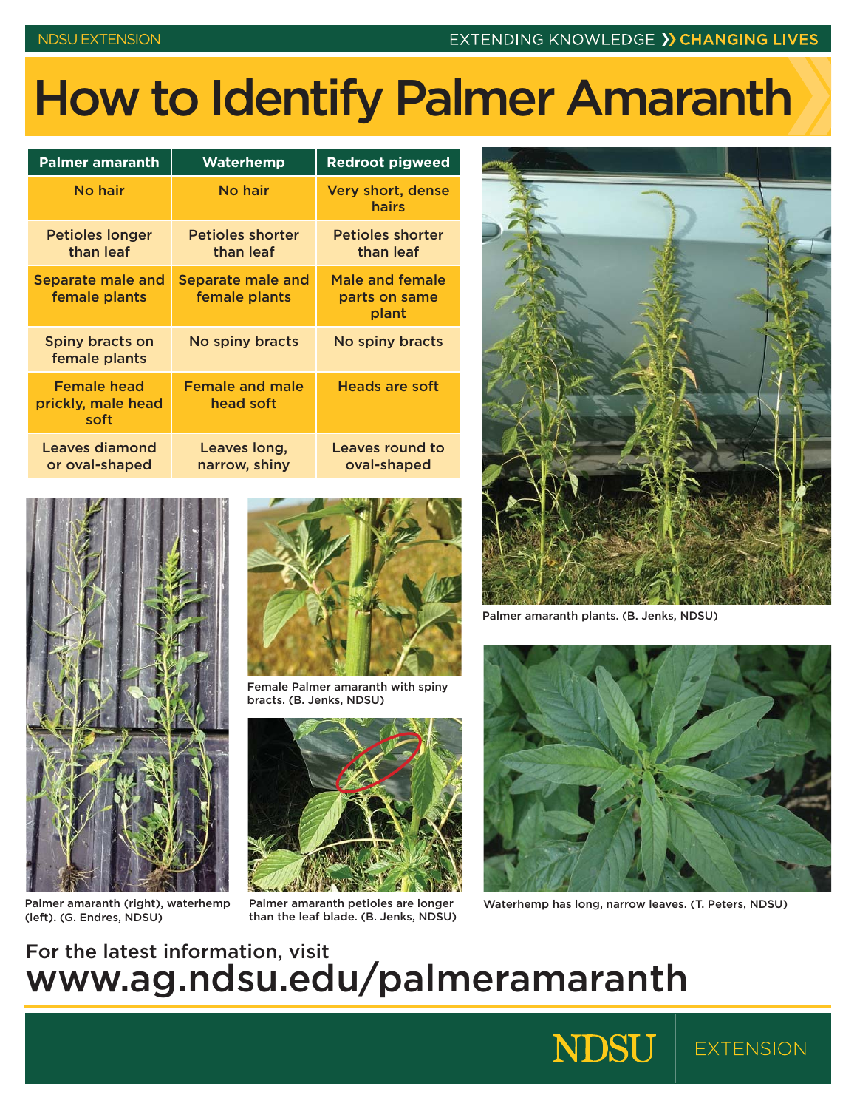## How to Identify Palmer Amaranth

| <b>Palmer amaranth</b>                           | Waterhemp                            | <b>Redroot pigweed</b>                    |
|--------------------------------------------------|--------------------------------------|-------------------------------------------|
| No hair                                          | No hair                              | <b>Very short, dense</b><br>hairs         |
| <b>Petioles longer</b><br>than leaf              | <b>Petioles shorter</b><br>than leaf | <b>Petioles shorter</b><br>than leaf      |
| <b>Separate male and</b><br>female plants        | Separate male and<br>female plants   | Male and female<br>parts on same<br>plant |
| Spiny bracts on<br>female plants                 | No spiny bracts                      | No spiny bracts                           |
| <b>Female head</b><br>prickly, male head<br>soft | <b>Female and male</b><br>head soft  | Heads are soft                            |
| Leaves diamond<br>or oval-shaped                 | Leaves long,<br>narrow, shiny        | Leaves round to<br>oval-shaped            |



Palmer amaranth (right), waterhemp (left). (G. Endres, NDSU)



Female Palmer amaranth with spiny bracts. (B. Jenks, NDSU)



than the leaf blade. (B. Jenks, NDSU)



Palmer amaranth plants. (B. Jenks, NDSU)



Palmer amaranth petioles are longer Waterhemp has long, narrow leaves. (T. Peters, NDSU)

**EXTENSION** 

**NDSU** 

## For the latest information, visit www.ag.ndsu.edu/palmeramaranth